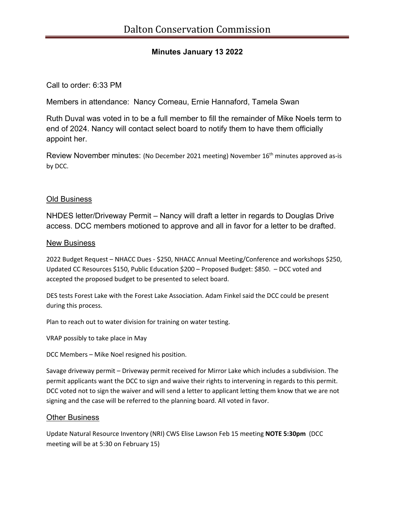# **Minutes January 13 2022**

## Call to order: 6:33 PM

Members in attendance: Nancy Comeau, Ernie Hannaford, Tamela Swan

Ruth Duval was voted in to be a full member to fill the remainder of Mike Noels term to end of 2024. Nancy will contact select board to notify them to have them officially appoint her.

Review November minutes: (No December 2021 meeting) November 16<sup>th</sup> minutes approved as-is by DCC.

## Old Business

NHDES letter/Driveway Permit – Nancy will draft a letter in regards to Douglas Drive access. DCC members motioned to approve and all in favor for a letter to be drafted.

#### New Business

2022 Budget Request – NHACC Dues - \$250, NHACC Annual Meeting/Conference and workshops \$250, Updated CC Resources \$150, Public Education \$200 – Proposed Budget: \$850. – DCC voted and accepted the proposed budget to be presented to select board.

DES tests Forest Lake with the Forest Lake Association. Adam Finkel said the DCC could be present during this process.

Plan to reach out to water division for training on water testing.

VRAP possibly to take place in May

DCC Members – Mike Noel resigned his position.

Savage driveway permit – Driveway permit received for Mirror Lake which includes a subdivision. The permit applicants want the DCC to sign and waive their rights to intervening in regards to this permit. DCC voted not to sign the waiver and will send a letter to applicant letting them know that we are not signing and the case will be referred to the planning board. All voted in favor.

#### **Other Business**

Update Natural Resource Inventory (NRI) CWS Elise Lawson Feb 15 meeting **NOTE 5:30pm** (DCC meeting will be at 5:30 on February 15)